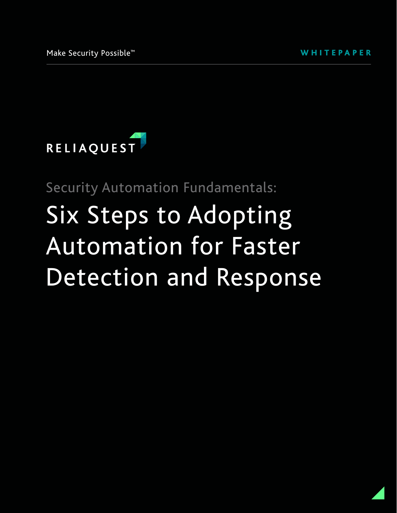

Security Automation Fundamentals:

# Six Steps to Adopting Automation for Faster Detection and Response

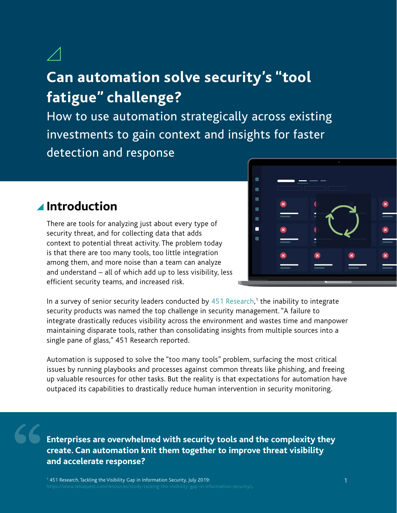### **Can automation solve security's "tool fatigue" challenge?**

How to use automation strategically across existing investments to gain context and insights for faster detection and response

#### **Introduction**

There are tools for analyzing just about every type of security threat, and for collecting data that adds context to potential threat activity. The problem today is that there are too many tools, too little integration among them, and more noise than a team can analyze and understand – all of which add up to less visibility, less efficient security teams, and increased risk.



In a survey of senior security leaders conducted by [451 Research,](https://www.reliaquest.com/resources/study-tacking-the-visibility-gap-in-information-security/)<sup>1</sup> the inability to integrate security products was named the top challenge in security management. "A failure to integrate drastically reduces visibility across the environment and wastes time and manpower maintaining disparate tools, rather than consolidating insights from multiple sources into a single pane of glass," 451 Research reported.

Automation is supposed to solve the "too many tools" problem, surfacing the most critical issues by running playbooks and processes against common threats like phishing, and freeing up valuable resources for other tasks. But the reality is that expectations for automation have outpaced its capabilities to drastically reduce human intervention in security monitoring.

**Enterprises are overwhelmed with security tools and the complexity they create. Can automation knit them together to improve threat visibility and accelerate response?**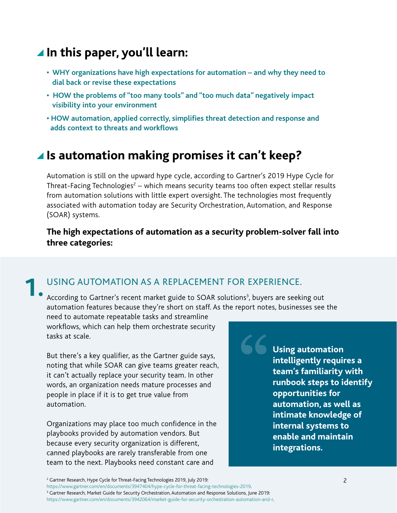#### **In this paper, you'll learn:**

- **WHY organizations have high expectations for automation and why they need to dial back or revise these expectations**
- **HOW the problems of "too many tools" and "too much data" negatively impact visibility into your environment**
- **HOW automation, applied correctly, simplifies threat detection and response and adds context to threats and workflows**

#### **Is automation making promises it can't keep?**

Automation is still on the upward hype cycle, according to Gartner's 2019 Hype Cycle for Threat-Facing Technologies<sup>2</sup> – which means security teams too often expect stellar results from automation solutions with little expert oversight. The technologies most frequently associated with automation today are Security Orchestration, Automation, and Response (SOAR) systems.

#### **The high expectations of automation as a security problem-solver fall into three categories:**

#### USING AUTOMATION AS A REPLACEMENT FOR EXPERIENCE. **1.**

According to Gartner's recent [market guide to SOAR solutions](https://www.gartner.com/en/documents/3942064/market-guide-for-security-orchestration-automation-and-r)<sup>3</sup>, buyers are seeking out automation features because they're short on staff. As the report notes, businesses see the

need to automate repeatable tasks and streamline workflows, which can help them orchestrate security tasks at scale.

But there's a key qualifier, as the Gartner guide says, noting that while SOAR can give teams greater reach, it can't actually replace your security team. In other words, an organization needs mature processes and people in place if it is to get true value from automation.

Organizations may place too much confidence in the playbooks provided by automation vendors. But because every security organization is different, canned playbooks are rarely transferable from one team to the next. Playbooks need constant care and

**Using automation intelligently requires a team's familiarity with runbook steps to identify opportunities for automation, as well as intimate knowledge of internal systems to enable and maintain integrations.**

[https://www.gartner.com/en/documents/3947404/hype-cycle-for-threat-facing-technologies-2019.](https://www.gartner.com/en/documents/3947404/hype-cycle-for-threat-facing-technologies-2019) 3 <sup>3</sup> Gartner Research, Market Guide for Security Orchestration, Automation and Response Solutions, June 2019:

<sup>2</sup> Gartner Research, Hype Cycle for Threat-Facing Technologies 2019, July 2019:

<https://www.gartner.com/en/documents/3942064/market-guide-for-security-orchestration-automation-and-r>.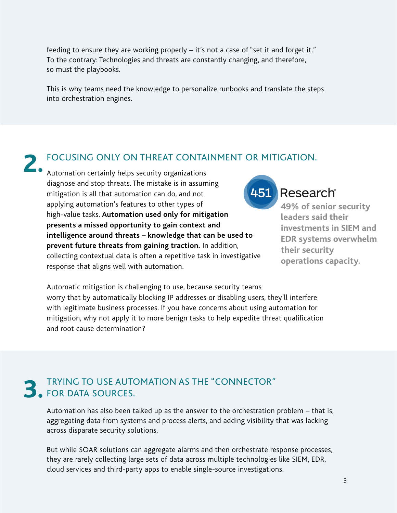feeding to ensure they are working properly – it's not a case of "set it and forget it." To the contrary: Technologies and threats are constantly changing, and therefore, so must the playbooks.

This is why teams need the knowledge to personalize runbooks and translate the steps into orchestration engines.

#### FOCUSING ONLY ON THREAT CONTAINMENT OR MITIGATION.

**2.** Automation certainly helps security organizations<br>The mistake is in assum diagnose and stop threats. The mistake is in assuming mitigation is all that automation can do, and not applying automation's features to other types of high-value tasks. **Automation used only for mitigation presents a missed opportunity to gain context and intelligence around threats – knowledge that can be used to prevent future threats from gaining traction.** In addition, collecting contextual data is often a repetitive task in investigative response that aligns well with automation.



#### Research®

**49% of senior security leaders said their investments in SIEM and EDR systems overwhelm their security operations capacity.**

Automatic mitigation is challenging to use, because security teams worry that by automatically blocking IP addresses or disabling users, they'll interfere with legitimate business processes. If you have concerns about using automation for mitigation, why not apply it to more benign tasks to help expedite threat qualification and root cause determination?

### TRYING TO USE AUTOMATION AS THE "CONNECTOR" **3.** FOR DATA SOURCES.

Automation has also been talked up as the answer to the orchestration problem – that is, aggregating data from systems and process alerts, and adding visibility that was lacking across disparate security solutions.

But while SOAR solutions can aggregate alarms and then orchestrate response processes, they are rarely collecting large sets of data across multiple technologies like SIEM, EDR, cloud services and third-party apps to enable single-source investigations.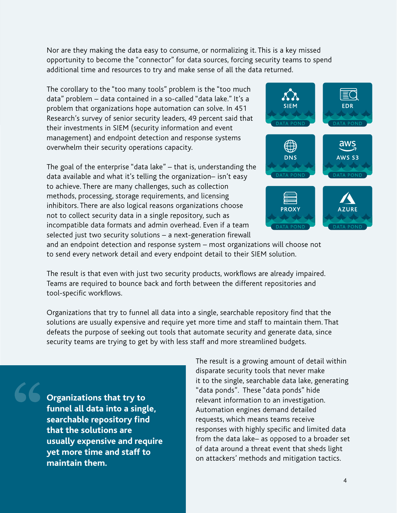Nor are they making the data easy to consume, or normalizing it. This is a key missed opportunity to become the "connector" for data sources, forcing security teams to spend additional time and resources to try and make sense of all the data returned.

The corollary to the "too many tools" problem is the "too much data" problem – data contained in a so-called "data lake." It's a problem that organizations hope automation can solve. In 451 Research's survey of senior security leaders, 49 percent said that their investments in SIEM (security information and event management) and endpoint detection and response systems overwhelm their security operations capacity.

The goal of the enterprise "data lake" – that is, understanding the data available and what it's telling the organization– isn't easy to achieve. There are many challenges, such as collection methods, processing, storage requirements, and licensing inhibitors. There are also logical reasons organizations choose not to collect security data in a single repository, such as incompatible data formats and admin overhead. Even if a team selected just two security solutions – a next-generation firewall



and an endpoint detection and response system – most organizations will choose not to send every network detail and every endpoint detail to their SIEM solution.

The result is that even with just two security products, workflows are already impaired. Teams are required to bounce back and forth between the different repositories and tool-specific workflows.

Organizations that try to funnel all data into a single, searchable repository find that the solutions are usually expensive and require yet more time and staff to maintain them. That defeats the purpose of seeking out tools that automate security and generate data, since security teams are trying to get by with less staff and more streamlined budgets.

**Organizations that try to funnel all data into a single, searchable repository find that the solutions are usually expensive and require yet more time and staff to maintain them.**

The result is a growing amount of detail within disparate security tools that never make it to the single, searchable data lake, generating "data ponds". These "data ponds" hide relevant information to an investigation. Automation engines demand detailed requests, which means teams receive responses with highly specific and limited data from the data lake– as opposed to a broader set of data around a threat event that sheds light on attackers' methods and mitigation tactics.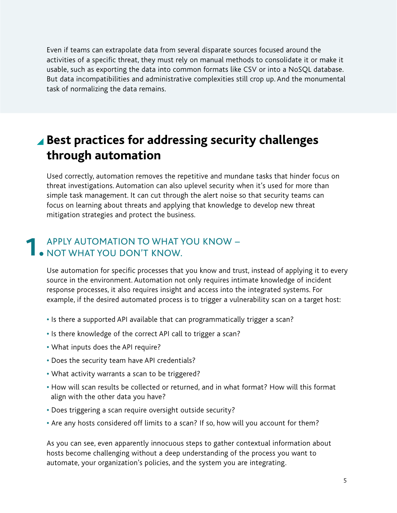Even if teams can extrapolate data from several disparate sources focused around the activities of a specific threat, they must rely on manual methods to consolidate it or make it usable, such as exporting the data into common formats like CSV or into a NoSQL database. But data incompatibilities and administrative complexities still crop up. And the monumental task of normalizing the data remains.

### **Best practices for addressing security challenges through automation**

Used correctly, automation removes the repetitive and mundane tasks that hinder focus on threat investigations. Automation can also uplevel security when it's used for more than simple task management. It can cut through the alert noise so that security teams can focus on learning about threats and applying that knowledge to develop new threat mitigation strategies and protect the business.

#### APPLY AUTOMATION TO WHAT YOU KNOW – **1.** APPLY AUTOMATION TO WHAT YOU DON'T KNOW.

Use automation for specific processes that you know and trust, instead of applying it to every source in the environment. Automation not only requires intimate knowledge of incident response processes, it also requires insight and access into the integrated systems. For example, if the desired automated process is to trigger a vulnerability scan on a target host:

- **•** Is there a supported API available that can programmatically trigger a scan?
- **•** Is there knowledge of the correct API call to trigger a scan?
- **•** What inputs does the API require?
- **•** Does the security team have API credentials?
- **•** What activity warrants a scan to be triggered?
- **•** How will scan results be collected or returned, and in what format? How will this format align with the other data you have?
- **•** Does triggering a scan require oversight outside security?
- **•** Are any hosts considered off limits to a scan? If so, how will you account for them?

As you can see, even apparently innocuous steps to gather contextual information about hosts become challenging without a deep understanding of the process you want to automate, your organization's policies, and the system you are integrating.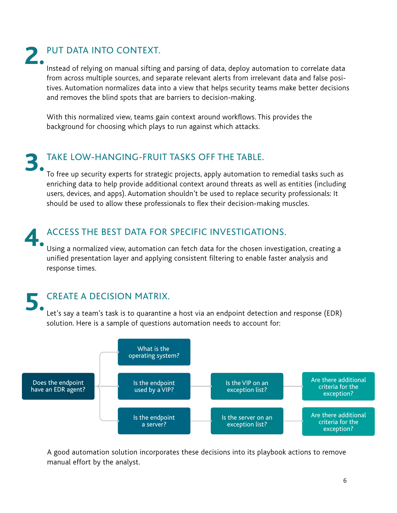### PUT DATA INTO CONTEXT.

Instead of relying on manual sifting and parsing of data, deploy automation to correlate data from across multiple sources, and separate relevant alerts from irrelevant data and false positives. Automation normalizes data into a view that helps security teams make better decisions and removes the blind spots that are barriers to decision-making.

With this normalized view, teams gain context around workflows. This provides the background for choosing which plays to run against which attacks.

## **3.**

#### TAKE LOW-HANGING-FRUIT TASKS OFF THE TABLE.

To free up security experts for strategic projects, apply automation to remedial tasks such as enriching data to help provide additional context around threats as well as entities (including users, devices, and apps). Automation shouldn't be used to replace security professionals: It should be used to allow these professionals to flex their decision-making muscles.

#### ACCESS THE BEST DATA FOR SPECIFIC INVESTIGATIONS. **4.**

Using a normalized view, automation can fetch data for the chosen investigation, creating a unified presentation layer and applying consistent filtering to enable faster analysis and response times.

## **5.**

#### CREATE A DECISION MATRIX.

Let's say a team's task is to quarantine a host via an endpoint detection and response (EDR) solution. Here is a sample of questions automation needs to account for:



A good automation solution incorporates these decisions into its playbook actions to remove manual effort by the analyst.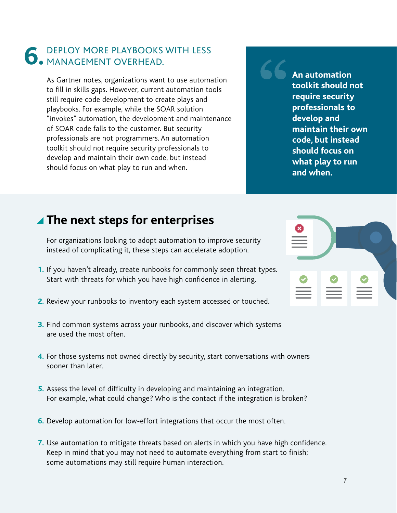#### DEPLOY MORE PLAYBOOKS WITH LESS **6.** DEPLOY MORE PLAYBOOKS MANAGEMENT OVERHEAD.

As Gartner notes, organizations want to use automation to fill in skills gaps. However, current automation tools still require code development to create plays and playbooks. For example, while the SOAR solution "invokes" automation, the development and maintenance of SOAR code falls to the customer. But security professionals are not programmers. An automation toolkit should not require security professionals to develop and maintain their own code, but instead should focus on what play to run and when.

**An automation toolkit should not require security professionals to develop and maintain their own code, but instead should focus on what play to run and when.**

#### **The next steps for enterprises**

For organizations looking to adopt automation to improve security instead of complicating it, these steps can accelerate adoption.

- **1.** If you haven't already, create runbooks for commonly seen threat types. Start with threats for which you have high confidence in alerting.
- 2. Review your runbooks to inventory each system accessed or touched.
- **3.** Find common systems across your runbooks, and discover which systems are used the most often.
- 4. For those systems not owned directly by security, start conversations with owners sooner than later.
- **5.** Assess the level of difficulty in developing and maintaining an integration. For example, what could change? Who is the contact if the integration is broken?
- **6.** Develop automation for low-effort integrations that occur the most often.
- 7. Use automation to mitigate threats based on alerts in which you have high confidence. Keep in mind that you may not need to automate everything from start to finish; some automations may still require human interaction.